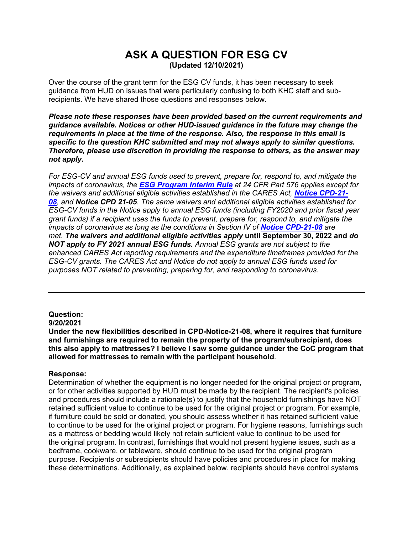# **ASK A QUESTION FOR ESG CV (Updated 12/10/2021)**

Over the course of the grant term for the ESG CV funds, it has been necessary to seek guidance from HUD on issues that were particularly confusing to both KHC staff and subrecipients. We have shared those questions and responses below.

*Please note these responses have been provided based on the current requirements and guidance available. Notices or other HUD-issued guidance in the future may change the requirements in place at the time of the response. Also, the response in this email is specific to the question KHC submitted and may not always apply to similar questions. Therefore, please use discretion in providing the response to others, as the answer may not apply.*

*For ESG-CV and annual ESG funds used to prevent, prepare for, respond to, and mitigate the impacts of coronavirus, the [ESG Program](https://gcc02.safelinks.protection.outlook.com/?url=https%3A%2F%2Fwww.hudexchange.info%2Fresource%2F1927%2Fhearth-esg-program-and-consolidated-plan-conforming-amendments%2F&data=04%7C01%7Crluckett%40kyhousing.org%7Cbdd2913bcc284682e80d08d97c7aea6d%7Caea041267f1a46ed81fd06f9287a4399%7C0%7C0%7C637677689763059050%7CUnknown%7CTWFpbGZsb3d8eyJWIjoiMC4wLjAwMDAiLCJQIjoiV2luMzIiLCJBTiI6Ik1haWwiLCJXVCI6Mn0%3D%7C3000&sdata=Zre4L9%2F8q%2B20Tk%2B%2Bvzf1bJaAhz7yK3PgG9DiqBgNIh8%3D&reserved=0) Interim Rule at 24 CFR Part 576 applies except for the waivers and additional eligible activities established in the CARES Act, [Notice CPD-21-](https://gcc02.safelinks.protection.outlook.com/?url=https%3A%2F%2Fwww.hud.gov%2Fsites%2Fdfiles%2FOCHCO%2Fdocuments%2F2021-08cpdn.pdf&data=04%7C01%7Crluckett%40kyhousing.org%7Cbdd2913bcc284682e80d08d97c7aea6d%7Caea041267f1a46ed81fd06f9287a4399%7C0%7C0%7C637677689763059050%7CUnknown%7CTWFpbGZsb3d8eyJWIjoiMC4wLjAwMDAiLCJQIjoiV2luMzIiLCJBTiI6Ik1haWwiLCJXVCI6Mn0%3D%7C3000&sdata=zjXO%2BqormrcicFZ6lUjxEsbKrHDR6cMnGwoHS4peySY%3D&reserved=0) [08](https://gcc02.safelinks.protection.outlook.com/?url=https%3A%2F%2Fwww.hud.gov%2Fsites%2Fdfiles%2FOCHCO%2Fdocuments%2F2021-08cpdn.pdf&data=04%7C01%7Crluckett%40kyhousing.org%7Cbdd2913bcc284682e80d08d97c7aea6d%7Caea041267f1a46ed81fd06f9287a4399%7C0%7C0%7C637677689763059050%7CUnknown%7CTWFpbGZsb3d8eyJWIjoiMC4wLjAwMDAiLCJQIjoiV2luMzIiLCJBTiI6Ik1haWwiLCJXVCI6Mn0%3D%7C3000&sdata=zjXO%2BqormrcicFZ6lUjxEsbKrHDR6cMnGwoHS4peySY%3D&reserved=0), and [Notice CPD 21-05](https://gcc02.safelinks.protection.outlook.com/?url=https%3A%2F%2Fwww.hud.gov%2Fsites%2Fdfiles%2FOCHCO%2Fdocuments%2F2021-05cpdn.pdf&data=04%7C01%7Crluckett%40kyhousing.org%7Cbdd2913bcc284682e80d08d97c7aea6d%7Caea041267f1a46ed81fd06f9287a4399%7C0%7C0%7C637677689763069010%7CUnknown%7CTWFpbGZsb3d8eyJWIjoiMC4wLjAwMDAiLCJQIjoiV2luMzIiLCJBTiI6Ik1haWwiLCJXVCI6Mn0%3D%7C3000&sdata=ZSgmAqyHwm01Vko1XqP8v9KGrX7LanA4YGSgm3pnVSo%3D&reserved=0). The same waivers and additional eligible activities established for ESG-CV funds in the Notice apply to annual ESG funds (including FY2020 and prior fiscal year grant funds) if a recipient uses the funds to prevent, prepare for, respond to, and mitigate the impacts of coronavirus as long as the conditions in Section IV of [Notice CPD-21-08](https://gcc02.safelinks.protection.outlook.com/?url=https%3A%2F%2Fwww.hud.gov%2Fsites%2Fdfiles%2FOCHCO%2Fdocuments%2F2021-08cpdn.pdf&data=04%7C01%7Crluckett%40kyhousing.org%7Cbdd2913bcc284682e80d08d97c7aea6d%7Caea041267f1a46ed81fd06f9287a4399%7C0%7C0%7C637677689763069010%7CUnknown%7CTWFpbGZsb3d8eyJWIjoiMC4wLjAwMDAiLCJQIjoiV2luMzIiLCJBTiI6Ik1haWwiLCJXVCI6Mn0%3D%7C3000&sdata=IM3VMM9Y20crkXLGCO5EhHC6oZ0f7sEHvJIgLtBfWuY%3D&reserved=0) are met. The waivers and additional eligible activities apply* **until September 30, 2022 and** *do NOT apply to FY 2021 annual ESG funds. Annual ESG grants are not subject to the enhanced CARES Act reporting requirements and the expenditure timeframes provided for the ESG-CV grants. The CARES Act and Notice do not apply to annual ESG funds used for purposes NOT related to preventing, preparing for, and responding to coronavirus.* 

# **Question:**

## **9/20/2021**

**Under the new flexibilities described in CPD-Notice-21-08, where it requires that furniture and furnishings are required to remain the property of the program/subrecipient, does this also apply to mattresses? I believe I saw some guidance under the CoC program that allowed for mattresses to remain with the participant household**.

## **Response:**

Determination of whether the equipment is no longer needed for the original project or program, or for other activities supported by HUD must be made by the recipient. The recipient's policies and procedures should include a rationale(s) to justify that the household furnishings have NOT retained sufficient value to continue to be used for the original project or program. For example, if furniture could be sold or donated, you should assess whether it has retained sufficient value to continue to be used for the original project or program. For hygiene reasons, furnishings such as a mattress or bedding would likely not retain sufficient value to continue to be used for the original program. In contrast, furnishings that would not present hygiene issues, such as a bedframe, cookware, or tableware, should continue to be used for the original program purpose. Recipients or subrecipients should have policies and procedures in place for making these determinations. Additionally, as explained below. recipients should have control systems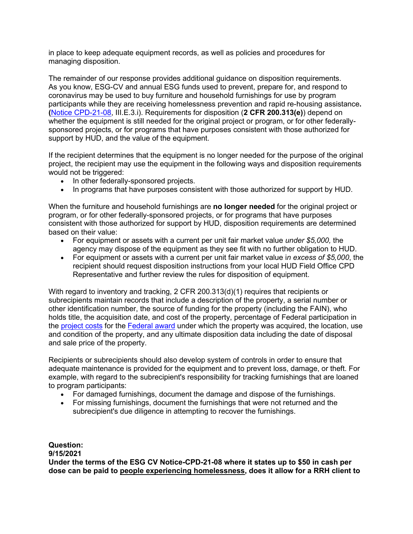in place to keep adequate equipment records, as well as policies and procedures for managing disposition.

The remainder of our response provides additional guidance on disposition requirements. As you know, ESG-CV and annual ESG funds used to prevent, prepare for, and respond to coronavirus may be used to buy furniture and household furnishings for use by program participants while they are receiving homelessness prevention and rapid re-housing assistance**. (**[Notice CPD-21-08,](https://gcc02.safelinks.protection.outlook.com/?url=https%3A%2F%2Fwww.hud.gov%2Fsites%2Fdfiles%2FOCHCO%2Fdocuments%2F2021-08cpdn.pdf&data=04%7C01%7Crluckett%40kyhousing.org%7Cbdd2913bcc284682e80d08d97c7aea6d%7Caea041267f1a46ed81fd06f9287a4399%7C0%7C0%7C637677689763029188%7CUnknown%7CTWFpbGZsb3d8eyJWIjoiMC4wLjAwMDAiLCJQIjoiV2luMzIiLCJBTiI6Ik1haWwiLCJXVCI6Mn0%3D%7C3000&sdata=v3dy80j3M8kchpGq5DZ4Fn76hzxLosfFvS6g4SNFm%2Bw%3D&reserved=0) III.E.3.i). Requirements for disposition (**[2 CFR 200.313\(e\)](https://gcc02.safelinks.protection.outlook.com/?url=https%3A%2F%2Fwww.gpo.gov%2Ffdsys%2Fgranule%2FCFR-2014-title2-vol1%2FCFR-2014-title2-vol1-sec200-313&data=04%7C01%7Crluckett%40kyhousing.org%7Cbdd2913bcc284682e80d08d97c7aea6d%7Caea041267f1a46ed81fd06f9287a4399%7C0%7C0%7C637677689763039137%7CUnknown%7CTWFpbGZsb3d8eyJWIjoiMC4wLjAwMDAiLCJQIjoiV2luMzIiLCJBTiI6Ik1haWwiLCJXVCI6Mn0%3D%7C3000&sdata=gK9Px%2FZR1Z879ID7vENVZ%2F16609LlpHk2znKwyDvyVc%3D&reserved=0)**) depend on whether the equipment is still needed for the original project or program, or for other federallysponsored projects, or for programs that have purposes consistent with those authorized for support by HUD, and the value of the equipment.

If the recipient determines that the equipment is no longer needed for the purpose of the original project, the recipient may use the equipment in the following ways and disposition requirements would not be triggered:

- In other federally-sponsored projects.
- In programs that have purposes consistent with those authorized for support by HUD.

When the furniture and household furnishings are **no longer needed** for the original project or program, or for other federally-sponsored projects, or for programs that have purposes consistent with those authorized for support by HUD, disposition requirements are determined based on their value:

- For equipment or assets with a current per unit fair market value *under \$5,000,* the agency may dispose of the equipment as they see fit with no further obligation to HUD.
- For equipment or assets with a current per unit fair market value i*n excess of \$5,000*, the recipient should request disposition instructions from your local HUD Field Office CPD Representative and further review the rules for disposition of equipment.

With regard to inventory and tracking, 2 CFR 200.313(d)(1) requires that recipients or subrecipients maintain records that include a description of the property, a serial number or other identification number, the source of funding for the property (including the FAIN), who holds title, the acquisition date, and cost of the property, percentage of Federal participation in the [project costs](https://gcc02.safelinks.protection.outlook.com/?url=https%3A%2F%2Fwww.law.cornell.edu%2Fdefinitions%2Findex.php%3Fwidth%3D840%26height%3D800%26iframe%3Dtrue%26def_id%3Ded9972166033bd01a54a979aa197925f%26term_occur%3D999%26term_src%3DTitle%3A2%3ASubtitle%3AA%3AChapter%3AII%3APart%3A200%3ASubpart%3AD%3ASubjgrp%3A28%3A200.313&data=04%7C01%7Crluckett%40kyhousing.org%7Cbdd2913bcc284682e80d08d97c7aea6d%7Caea041267f1a46ed81fd06f9287a4399%7C0%7C0%7C637677689763049096%7CUnknown%7CTWFpbGZsb3d8eyJWIjoiMC4wLjAwMDAiLCJQIjoiV2luMzIiLCJBTiI6Ik1haWwiLCJXVCI6Mn0%3D%7C3000&sdata=djxh5%2FaMV9LQmEz6c9tH4G5mW8vaz02MpwtXnc2dLuA%3D&reserved=0) for the [Federal award](https://gcc02.safelinks.protection.outlook.com/?url=https%3A%2F%2Fwww.law.cornell.edu%2Fdefinitions%2Findex.php%3Fwidth%3D840%26height%3D800%26iframe%3Dtrue%26def_id%3D081a194046528468942c369470c2966a%26term_occur%3D999%26term_src%3DTitle%3A2%3ASubtitle%3AA%3AChapter%3AII%3APart%3A200%3ASubpart%3AD%3ASubjgrp%3A28%3A200.313&data=04%7C01%7Crluckett%40kyhousing.org%7Cbdd2913bcc284682e80d08d97c7aea6d%7Caea041267f1a46ed81fd06f9287a4399%7C0%7C0%7C637677689763049096%7CUnknown%7CTWFpbGZsb3d8eyJWIjoiMC4wLjAwMDAiLCJQIjoiV2luMzIiLCJBTiI6Ik1haWwiLCJXVCI6Mn0%3D%7C3000&sdata=cjAg3520vgmgMadeSXES8cVYYiRj94et8GxyRA1o2mk%3D&reserved=0) under which the property was acquired, the location, use and condition of the property, and any ultimate disposition data including the date of disposal and sale price of the property.

Recipients or subrecipients should also develop system of controls in order to ensure that adequate maintenance is provided for the equipment and to prevent loss, damage, or theft. For example, with regard to the subrecipient's responsibility for tracking furnishings that are loaned to program participants:

- For damaged furnishings, document the damage and dispose of the furnishings.
- For missing furnishings, document the furnishings that were not returned and the subrecipient's due diligence in attempting to recover the furnishings.

**Question: 9/15/2021 Under the terms of the ESG CV Notice-CPD-21-08 where it states up to \$50 in cash per dose can be paid to people experiencing homelessness, does it allow for a RRH client to**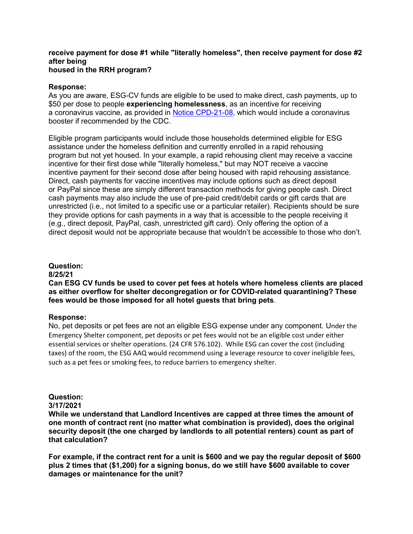## **receive payment for dose #1 while "literally homeless", then receive payment for dose #2 after being housed in the RRH program?**

#### **Response:**

As you are aware, ESG-CV funds are eligible to be used to make direct, cash payments, up to \$50 per dose to people **experiencing homelessness**, as an incentive for receiving a coronavirus vaccine, as provided in [Notice CPD-21-08,](https://gcc02.safelinks.protection.outlook.com/?url=https%3A%2F%2Fwww.hud.gov%2Fsites%2Fdfiles%2FOCHCO%2Fdocuments%2F2021-08cpdn.pdf&data=04%7C01%7Crluckett%40kyhousing.org%7C245769f8f2344a723a6a08d9785fbd2e%7Caea041267f1a46ed81fd06f9287a4399%7C0%7C0%7C637673175009804264%7CUnknown%7CTWFpbGZsb3d8eyJWIjoiMC4wLjAwMDAiLCJQIjoiV2luMzIiLCJBTiI6Ik1haWwiLCJXVCI6Mn0%3D%7C3000&sdata=5bSqJqRs0kLopcu643jYp1IeXph14qBUfWsQ7PfubLM%3D&reserved=0) which would include a coronavirus booster if recommended by the CDC.

Eligible program participants would include those households determined eligible for ESG assistance under the homeless definition and currently enrolled in a rapid rehousing program but not yet housed. In your example, a rapid rehousing client may receive a vaccine incentive for their first dose while "literally homeless," but may NOT receive a vaccine incentive payment for their second dose after being housed with rapid rehousing assistance. Direct, cash payments for vaccine incentives may include options such as direct deposit or PayPal since these are simply different transaction methods for giving people cash. Direct cash payments may also include the use of pre-paid credit/debit cards or gift cards that are unrestricted (i.e., not limited to a specific use or a particular retailer). Recipients should be sure they provide options for cash payments in a way that is accessible to the people receiving it (e.g., direct deposit, PayPal, cash, unrestricted gift card). Only offering the option of a direct deposit would not be appropriate because that wouldn't be accessible to those who don't.

#### **Question:**

#### **8/25/21**

**Can ESG CV funds be used to cover pet fees at hotels where homeless clients are placed as either overflow for shelter decongregation or for COVID-related quarantining? These fees would be those imposed for all hotel guests that bring pets**.

#### **Response:**

No, pet deposits or pet fees are not an eligible ESG expense under any component. Under the Emergency Shelter component, pet deposits or pet fees would not be an eligible cost under either essential services or shelter operations. (24 CFR 576.102). While ESG can cover the cost (including taxes) of the room, the ESG AAQ would recommend using a leverage resource to cover ineligible fees, such as a pet fees or smoking fees, to reduce barriers to emergency shelter.

#### **Question:**

## **3/17/2021**

**While we understand that Landlord Incentives are capped at three times the amount of one month of contract rent (no matter what combination is provided), does the original security deposit (the one charged by landlords to all potential renters) count as part of that calculation?**

**For example, if the contract rent for a unit is \$600 and we pay the regular deposit of \$600 plus 2 times that (\$1,200) for a signing bonus, do we still have \$600 available to cover damages or maintenance for the unit?**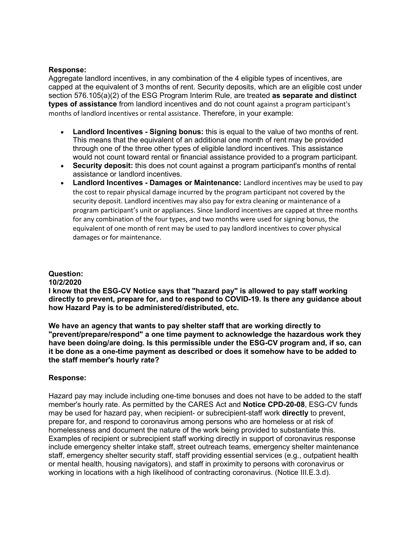## **Response:**

Aggregate landlord incentives, in any combination of the 4 eligible types of incentives, are capped at the equivalent of 3 months of rent. Security deposits, which are an eligible cost under section 576.105(a)(2) of the ESG Program Interim Rule, are treated **as separate and distinct types of assistance** from landlord incentives and do not count against a program participant's months of landlord incentives or rental assistance. Therefore, in your example:

- **Landlord Incentives - Signing bonus:** this is equal to the value of two months of rent. This means that the equivalent of an additional one month of rent may be provided through one of the three other types of eligible landlord incentives. This assistance would not count toward rental or financial assistance provided to a program participant.
- **Security deposit:** this does not count against a program participant's months of rental assistance or landlord incentives.
- **Landlord Incentives - Damages or Maintenance:** Landlord incentives may be used to pay the cost to repair physical damage incurred by the program participant not covered by the security deposit. Landlord incentives may also pay for extra cleaning or maintenance of a program participant's unit or appliances. Since landlord incentives are capped at three months for any combination of the four types, and two months were used for signing bonus, the equivalent of one month of rent may be used to pay landlord incentives to cover physical damages or for maintenance.

# **Question:**

## **10/2/2020**

**I know that the ESG-CV Notice says that "hazard pay" is allowed to pay staff working directly to prevent, prepare for, and to respond to COVID-19. Is there any guidance about how Hazard Pay is to be administered/distributed, etc.**

**We have an agency that wants to pay shelter staff that are working directly to "prevent/prepare/respond" a one time payment to acknowledge the hazardous work they have been doing/are doing. Is this permissible under the ESG-CV program and, if so, can it be done as a one-time payment as described or does it somehow have to be added to the staff member's hourly rate?**

# **Response:**

Hazard pay may include including one-time bonuses and does not have to be added to the staff member's hourly rate. As permitted by the CARES Act and **[Notice CPD-20-08](https://gcc01.safelinks.protection.outlook.com/?url=https%3A%2F%2Fwww.hudexchange.info%2Fresource%2F6135%2Fnotice-cpd-20-08-waivers-and-alternative-requirements-for-the-esg-program-under-the-cares-act%2F&data=02%7C01%7Csrabold%40kyhousing.org%7Cd3596344da404a711cc008d86702576f%7Caea041267f1a46ed81fd06f9287a4399%7C0%7C0%7C637372608253592581&sdata=g3EDegrRULsywT%2B0l49QslPtuAx5AeZyc8pO%2BJsg3qg%3D&reserved=0)**, ESG-CV funds may be used for hazard pay, when recipient- or subrecipient-staff work **directly** to prevent, prepare for, and respond to coronavirus among persons who are homeless or at risk of homelessness and document the nature of the work being provided to substantiate this. Examples of recipient or subrecipient staff working directly in support of coronavirus response include emergency shelter intake staff, street outreach teams, emergency shelter maintenance staff, emergency shelter security staff, staff providing essential services (e.g., outpatient health or mental health, housing navigators), and staff in proximity to persons with coronavirus or working in locations with a high likelihood of contracting coronavirus. (Notice III.E.3.d).